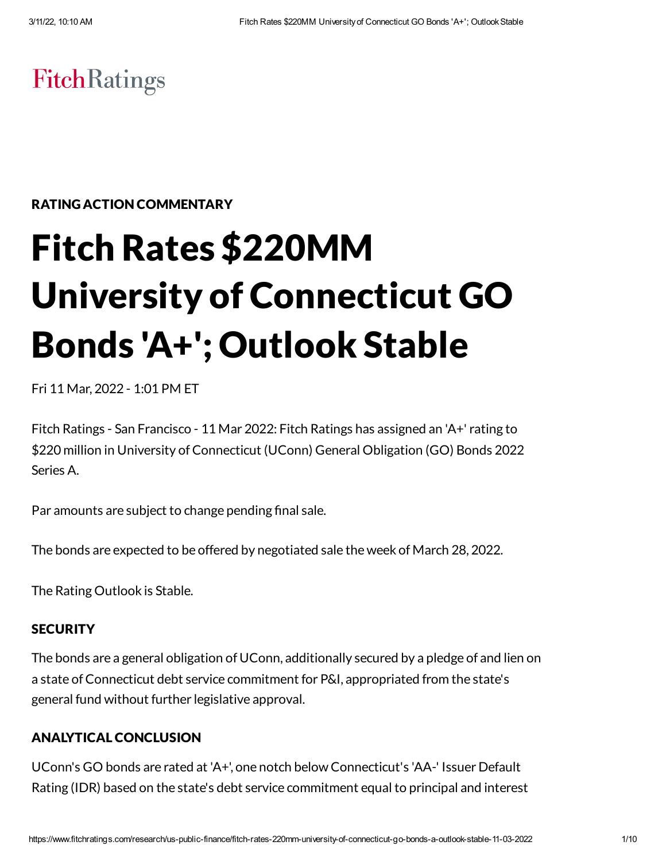## **FitchRatings**

## RATING ACTION COMMENTARY

# Fitch Rates \$220MM University of Connecticut GO Bonds 'A+'; Outlook Stable

Fri 11 Mar, 2022 - 1:01 PM ET

Fitch Ratings - San Francisco - 11 Mar 2022: Fitch Ratings has assigned an 'A+' rating to \$220 million in University of Connecticut (UConn) General Obligation (GO) Bonds 2022 Series A.

Par amounts are subject to change pending final sale.

The bonds are expected to be offered by negotiated sale the week of March 28, 2022.

The Rating Outlook is Stable.

## **SECURITY**

The bonds are a general obligation of UConn, additionally secured by a pledge of and lien on a state of Connecticut debt service commitment for P&I, appropriated from the state's general fund without further legislative approval.

## ANALYTICAL CONCLUSION

UConn's GO bonds are rated at 'A+', one notch below Connecticut's 'AA-' Issuer Default Rating (IDR) based on the state's debt service commitment equal to principal and interest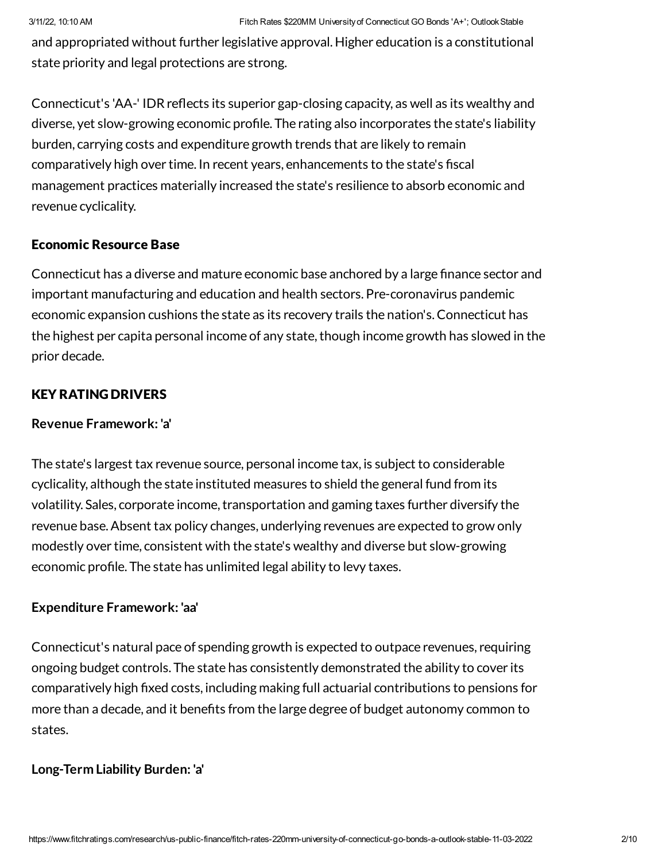and appropriated without further legislative approval. Higher education is a constitutional state priority and legal protections are strong.

Connecticut's 'AA-' IDR reflects its superior gap-closing capacity, as well as its wealthy and diverse, yet slow-growing economic profile. The rating also incorporates the state's liability burden, carrying costs and expenditure growth trends that are likely to remain comparatively high over time. In recent years, enhancements to the state's fiscal management practices materially increased the state's resilience to absorb economic and revenue cyclicality.

#### Economic Resource Base

Connecticut has a diverse and mature economic base anchored by a large finance sector and important manufacturing and education and health sectors. Pre-coronavirus pandemic economic expansion cushions the state as its recovery trails the nation's.Connecticut has the highest per capita personal income of any state, though income growth has slowed in the prior decade.

## KEY RATING DRIVERS

### **Revenue Framework: 'a'**

The state's largest tax revenue source, personal income tax, is subject to considerable cyclicality, although the state instituted measures to shield the general fund from its volatility. Sales, corporate income, transportation and gaming taxes further diversify the revenue base.Absent tax policy changes, underlying revenues are expected to grow only modestly over time, consistent with the state's wealthy and diverse but slow-growing economic profile. The state has unlimited legal ability to levy taxes.

#### **Expenditure Framework: 'aa'**

Connecticut's natural pace of spending growth is expected to outpace revenues, requiring ongoing budget controls. The state has consistently demonstrated the ability to cover its comparatively high fixed costs, including making full actuarial contributions to pensions for more than a decade, and it benefits from the large degree of budget autonomy common to states.

## **Long-Term Liability Burden: 'a'**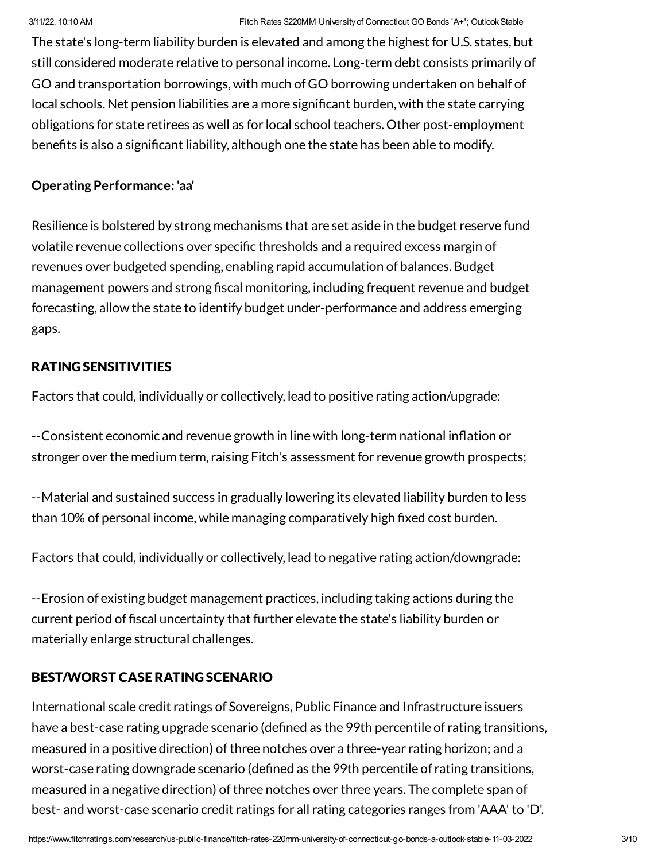The state's long-term liability burden is elevated and among the highest for U.S. states, but still considered moderate relative to personal income. Long-term debt consists primarily of GO and transportation borrowings, with much of GO borrowing undertaken on behalf of local schools. Net pension liabilities are a more significant burden, with the state carrying obligations for state retirees as well as for local school teachers. Other post-employment benefits is also a significant liability, although one the state has been able to modify.

#### **Operating Performance: 'aa'**

Resilience is bolstered by strong mechanisms that are set aside in the budget reserve fund volatile revenue collections over specific thresholds and a required excess margin of revenues over budgeted spending, enabling rapid accumulation of balances. Budget management powers and strong fiscal monitoring, including frequent revenue and budget forecasting, allow the state to identify budget under-performance and address emerging gaps.

#### RATING SENSITIVITIES

Factors that could, individually or collectively, lead to positive rating action/upgrade:

--Consistent economic and revenue growth in line with long-term national inflation or stronger over the medium term, raising Fitch's assessment for revenue growth prospects;

--Material and sustained success in gradually lowering its elevated liability burden to less than 10% of personal income, while managing comparatively high fixed cost burden.

Factors that could, individually or collectively, lead to negative rating action/downgrade:

--Erosion of existing budget management practices, including taking actions during the current period of fiscal uncertainty that further elevate the state's liability burden or materially enlarge structural challenges.

#### BEST/WORST CASE RATING SCENARIO

International scale credit ratings of Sovereigns, Public Finance and Infrastructure issuers have a best-case rating upgrade scenario (defined as the 99th percentile of rating transitions, measured in a positive direction) of three notches over a three-year rating horizon; and a worst-case rating downgrade scenario (defined as the 99th percentile of rating transitions, measured in a negative direction) of three notches over three years. The complete span of best- and worst-case scenario credit ratings for all rating categories ranges from 'AAA' to 'D'.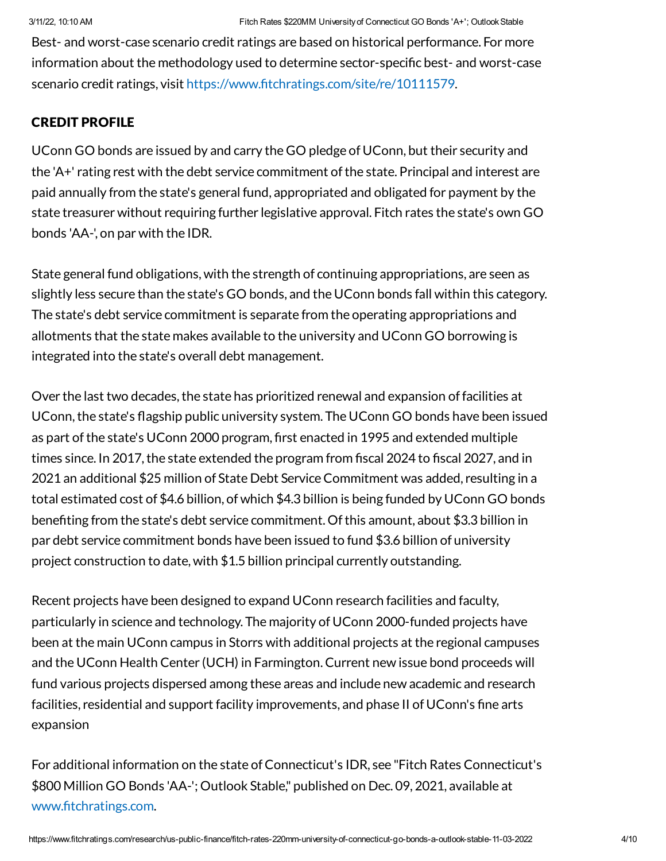Best- and worst-case scenario credit ratings are based on historical performance. For more information about the methodology used to determine sector-specific best- and worst-case scenario credit ratings, visit <https://www.fitchratings.com/site/re/10111579>.

#### CREDIT PROFILE

UConn GO bonds are issued by and carry the GO pledge of UConn, but their security and the 'A+' rating rest with the debt service commitment of the state. Principal and interest are paid annually from the state's general fund, appropriated and obligated for payment by the state treasurer without requiring further legislative approval. Fitch rates the state's own GO bonds 'AA-', on par with the IDR.

State general fund obligations, with the strength of continuing appropriations, are seen as slightly less secure than the state's GO bonds, and the UConn bonds fall within this category. The state's debt service commitment is separate from the operating appropriations and allotments that the state makes available to the university and UConn GO borrowing is integrated into the state's overall debt management.

Over the last two decades, the state has prioritized renewal and expansion of facilities at UConn, the state's flagship public university system. The UConn GO bonds have been issued as part of the state's UConn 2000 program, first enacted in 1995 and extended multiple times since. In 2017, the state extended the program from fiscal 2024 to fiscal 2027, and in 2021 an additional \$25 million of State Debt ServiceCommitment was added, resulting in a total estimated cost of \$4.6 billion, of which \$4.3 billion is being funded by UConn GO bonds benefiting from the state's debt service commitment. Of this amount, about \$3.3 billion in par debt service commitment bonds have been issued to fund \$3.6 billion of university project construction to date, with \$1.5 billion principal currently outstanding.

Recent projects have been designed to expand UConn research facilities and faculty, particularly in science and technology. The majority of UConn 2000-funded projects have been at the main UConn campus in Storrs with additional projects at the regional campuses and the UConn Health Center (UCH) in Farmington.Current new issue bond proceeds will fund various projects dispersed among these areas and include new academic and research facilities, residential and support facility improvements, and phase II of UConn's fine arts expansion

For additional information on the state of Connecticut's IDR, see "Fitch Rates Connecticut's \$800 Million GO Bonds 'AA-'; Outlook Stable," published on Dec. 09, 2021, available at [www.fitchratings.com](http://www.fitchratings.com/).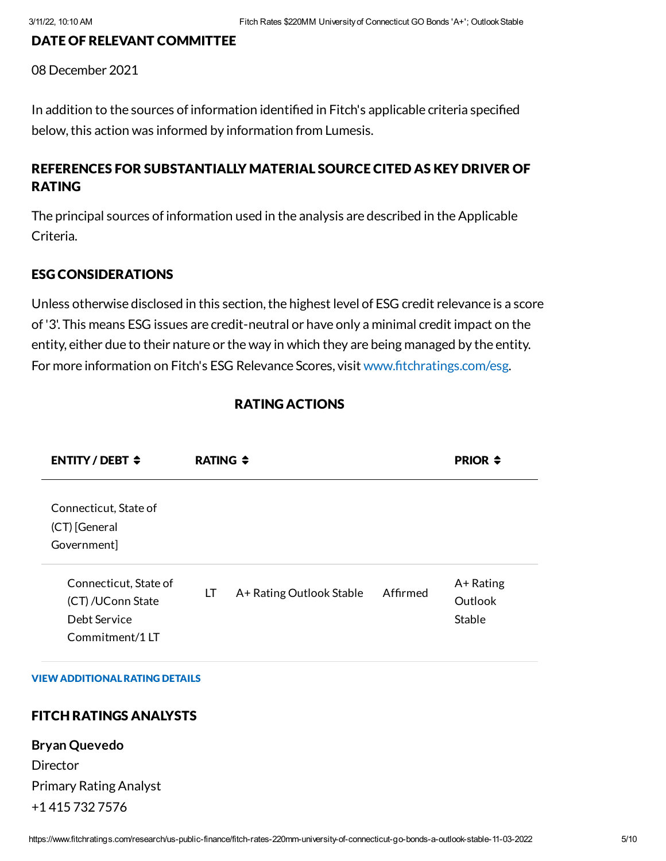#### DATE OF RELEVANT COMMITTEE

08 December 2021

In addition to the sources of information identified in Fitch's applicable criteria specified below, this action was informed by information from Lumesis.

## REFERENCES FOR SUBSTANTIALLY MATERIAL SOURCE CITED AS KEY DRIVER OF RATING

The principal sources of information used in the analysis are described in the Applicable Criteria.

#### ESG CONSIDERATIONS

Unless otherwise disclosed in this section, the highest level of ESG credit relevance is a score of'3'. This means ESG issues are credit-neutral or have only a minimal credit impact on the entity, either due to their nature or the way in which they are being managed by the entity. For more information on Fitch's ESG Relevance Scores, visit [www.fitchratings.com/esg.](http://www.fitchratings.com/esg)

#### RATING ACTIONS

| <b>ENTITY / DEBT ≑</b>                                                      | RATING $\div$                              | <b>PRIOR <math>\div</math></b> |
|-----------------------------------------------------------------------------|--------------------------------------------|--------------------------------|
| Connecticut, State of<br>(CT) [General<br>Government]                       |                                            |                                |
| Connecticut, State of<br>(CT)/UConn State<br>Debt Service<br>Commitment/1LT | Affirmed<br>LT<br>A+ Rating Outlook Stable | A+ Rating<br>Outlook<br>Stable |

#### VIEW ADDITIONALRATING DETAILS

#### FITCH RATINGS ANALYSTS

**Bryan Quevedo Director** Primary Rating Analyst +1 415 732 7576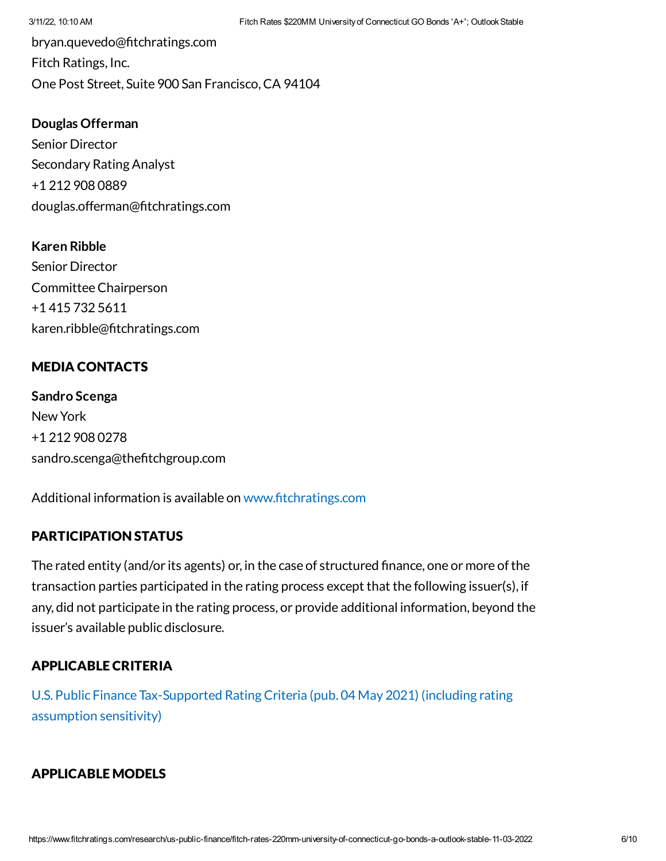bryan.quevedo@fitchratings.com Fitch Ratings, Inc. One Post Street, Suite 900 San Francisco,CA 94104

#### **Douglas Offerman**

Senior Director Secondary Rating Analyst +1 212 908 0889 douglas.offerman@fitchratings.com

**Karen Ribble** Senior Director CommitteeChairperson +1 415 732 5611 karen.ribble@fitchratings.com

## MEDIA CONTACTS

**Sandro Scenga** New York +1 212 908 0278 sandro.scenga@thefitchgroup.com

Additional information is available on [www.fitchratings.com](http://www.fitchratings.com/)

#### PARTICIPATION STATUS

The rated entity (and/or its agents) or, in the case of structured finance, one or more of the transaction parties participated in the rating process except that the following issuer(s), if any, did not participate in the rating process, or provide additional information, beyond the issuer's available public disclosure.

## APPLICABLE CRITERIA

U.S. Public Finance [Tax-Supported](https://www.fitchratings.com/research/us-public-finance/us-public-finance-tax-supported-rating-criteria-04-05-2021) Rating Criteria (pub. 04 May 2021) (including rating assumption sensitivity)

#### APPLICABLE MODELS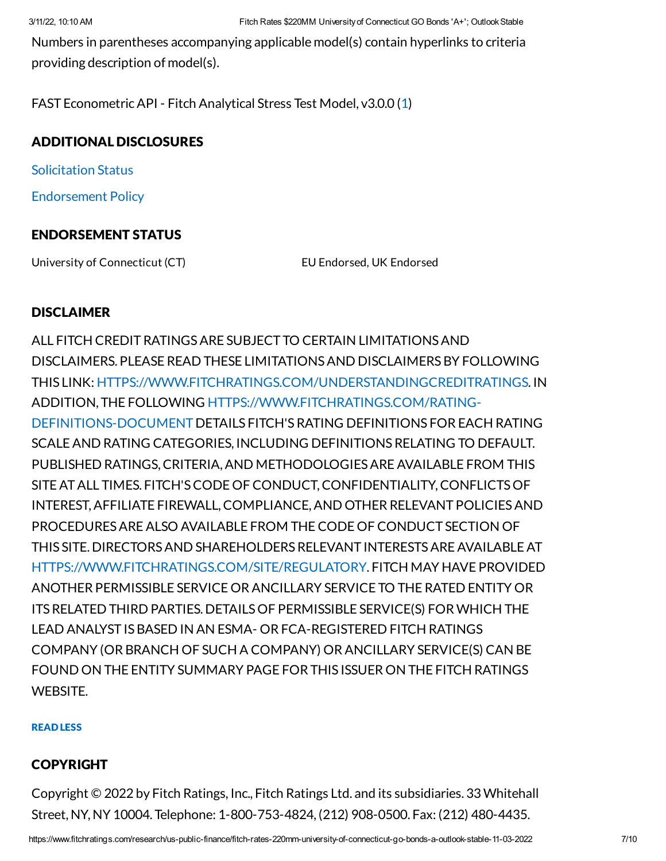Numbers in parentheses accompanying applicable model(s) contain hyperlinks to criteria providing description of model(s).

FAST EconometricAPI - Fitch Analytical Stress Test Model, v3.0.0 ([1\)](https://www.fitchratings.com/research/us-public-finance/us-public-finance-tax-supported-rating-criteria-04-05-2021)

## ADDITIONAL DISCLOSURES

Solicitation Status

[Endorsement](#page-9-0) Policy

## ENDORSEMENT STATUS

University of Connecticut (CT) EU Endorsed, UK Endorsed

### **DISCLAIMER**

ALL FITCH CREDIT RATINGS ARE SUBJECT TO CERTAIN LIMITATIONS AND DISCLAIMERS. PLEASE READ THESE LIMITATIONSAND DISCLAIMERSBY FOLLOWING THIS LINK: [HTTPS://WWW.FITCHRATINGS.COM/UNDERSTANDINGCREDITRATINGS.](https://www.fitchratings.com/UNDERSTANDINGCREDITRATINGS) IN ADDITION, THE FOLLOWING [HTTPS://WWW.FITCHRATINGS.COM/RATING-](https://www.fitchratings.com/rating-definitions-document)DEFINITIONS-DOCUMENT DETAILS FITCH'SRATING DEFINITIONS FOR EACH RATING SCALE AND RATING CATEGORIES, INCLUDING DEFINITIONS RELATING TO DEFAULT. PUBLISHED RATINGS, CRITERIA, AND METHODOLOGIES ARE AVAILABLE FROM THIS SITEATALL TIMES. FITCH'SCODE OF CONDUCT,CONFIDENTIALITY,CONFLICTSOF INTEREST,AFFILIATE FIREWALL,COMPLIANCE,AND OTHER RELEVANT POLICIESAND PROCEDURESAREALSO AVAILABLE FROM THECODE OF CONDUCT SECTION OF THIS SITE. DIRECTORSAND SHAREHOLDERSRELEVANT INTERESTSAREAVAILABLEAT [HTTPS://WWW.FITCHRATINGS.COM/SITE/REGULATORY](https://www.fitchratings.com/site/regulatory). FITCH MAY HAVE PROVIDED ANOTHER PERMISSIBLE SERVICE ORANCILLARY SERVICE TO THE RATED ENTITY OR ITSRELATED THIRD PARTIES. DETAILSOF PERMISSIBLE SERVICE(S) FORWHICH THE LEAD ANALYST IS BASED IN AN ESMA- OR FCA-REGISTERED FITCH RATINGS COMPANY (OR BRANCH OF SUCH A COMPANY) ORANCILLARY SERVICE(S) CAN BE FOUND ON THE ENTITY SUMMARY PAGE FOR THIS ISSUER ON THE FITCH RATINGS WEBSITE.

#### READ LESS

#### COPYRIGHT

Copyright © 2022 by Fitch Ratings, Inc., Fitch Ratings Ltd. and its subsidiaries. 33 Whitehall Street, NY, NY 10004. Telephone: 1-800-753-4824, (212) 908-0500. Fax: (212) 480-4435.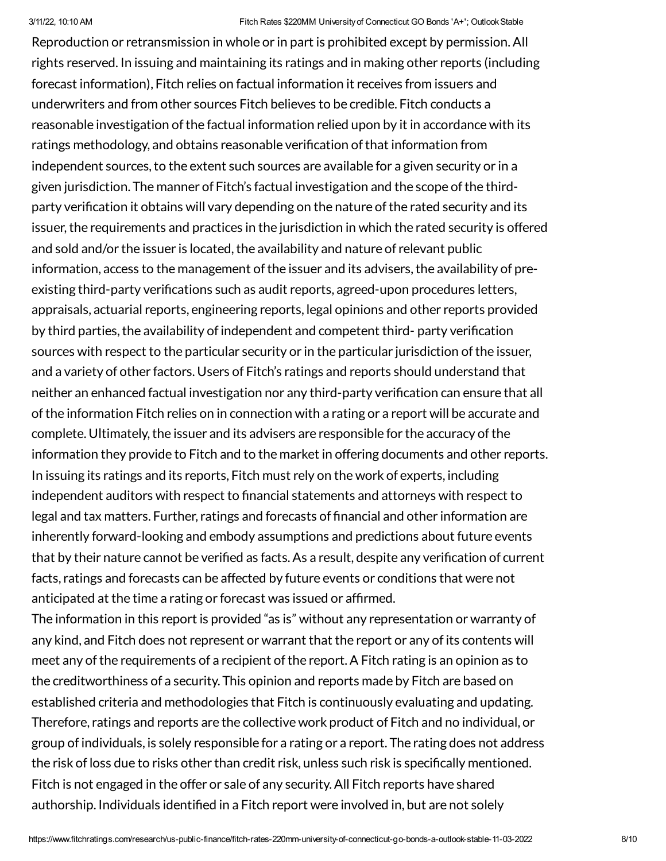Reproduction or retransmission in whole or in part is prohibited except by permission.All rights reserved. In issuing and maintaining its ratings and in making other reports (including forecast information), Fitch relies on factual information it receives from issuers and underwriters and from other sources Fitch believes to be credible. Fitch conducts a reasonable investigation of the factual information relied upon by it in accordance with its ratings methodology, and obtains reasonable verification ofthat information from independent sources, to the extent such sources are available for a given security or in a given jurisdiction. The manner of Fitch's factual investigation and the scope ofthe thirdparty verification it obtains will vary depending on the nature of the rated security and its issuer, the requirements and practices in the jurisdiction in which the rated security is offered and sold and/or the issuer is located, the availability and nature of relevant public information, access to the management of the issuer and its advisers, the availability of preexisting third-party verifications such as audit reports, agreed-upon procedures letters, appraisals, actuarial reports, engineering reports, legal opinions and other reports provided by third parties, the availability of independent and competent third- party verification sources with respect to the particular security or in the particular jurisdiction ofthe issuer, and a variety of other factors. Users of Fitch's ratings and reports should understand that neither an enhanced factual investigation nor any third-party verification can ensure that all ofthe information Fitch relies on in connection with a rating or a report will be accurate and complete. Ultimately, the issuer and its advisers are responsible for the accuracy of the information they provide to Fitch and to the market in offering documents and other reports. In issuing its ratings and its reports, Fitch must rely on the work of experts, including independent auditors with respect to financial statements and attorneys with respect to legal and tax matters. Further, ratings and forecasts of financial and other information are inherently forward-looking and embody assumptions and predictions about future events that by their nature cannot be verified as facts. As a result, despite any verification of current facts, ratings and forecasts can be affected by future events or conditions that were not anticipated at the time a rating or forecast was issued or affirmed.

The information in this report is provided "as is" without any representation or warranty of any kind, and Fitch does not represent or warrant that the report or any of its contents will meet any of the requirements of a recipient of the report. A Fitch rating is an opinion as to the creditworthiness of a security. This opinion and reports made by Fitch are based on established criteria and methodologies that Fitch is continuously evaluating and updating. Therefore, ratings and reports are the collective work product of Fitch and no individual, or group of individuals, is solely responsible for a rating or a report. The rating does not address the risk of loss due to risks other than credit risk, unless such risk is specifically mentioned. Fitch is not engaged in the offer or sale of any security.All Fitch reports have shared authorship. Individuals identified in a Fitch report were involved in, but are not solely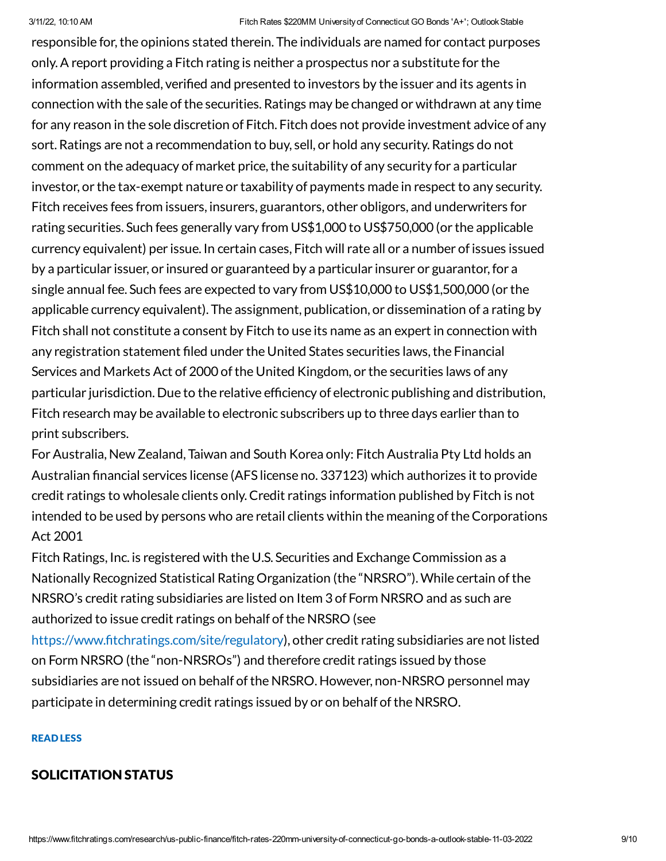responsible for, the opinions stated therein. The individuals are named for contact purposes only.A report providing a Fitch rating is neither a prospectus nor a substitute for the information assembled, verified and presented to investors by the issuer and its agents in connection with the sale of the securities. Ratings may be changed or withdrawn at any time for any reason in the sole discretion of Fitch. Fitch does not provide investment advice of any sort. Ratings are not a recommendation to buy, sell, or hold any security. Ratings do not comment on the adequacy of market price, the suitability of any security for a particular investor, or the tax-exempt nature or taxability of payments made in respect to any security. Fitch receives fees from issuers, insurers, guarantors, other obligors, and underwriters for rating securities. Such fees generally vary from US\$1,000 to US\$750,000 (or the applicable currency equivalent) per issue. In certain cases, Fitch will rate all or a number of issues issued by a particular issuer, or insured or guaranteed by a particular insurer or guarantor, for a single annual fee. Such fees are expected to vary from US\$10,000 to US\$1,500,000 (or the applicable currency equivalent). The assignment, publication, or dissemination of a rating by Fitch shall not constitute a consent by Fitch to use its name as an expert in connection with any registration statement filed under the United States securities laws, the Financial Services and Markets Act of 2000 of the United Kingdom, or the securities laws of any particular jurisdiction. Due to the relative efficiency of electronic publishing and distribution, Fitch research may be available to electronic subscribers up to three days earlier than to print subscribers.

For Australia, New Zealand, Taiwan and South Korea only: Fitch Australia Pty Ltd holds an Australian financial services license (AFS license no. 337123) which authorizes it to provide credit ratings to wholesale clients only.Credit ratings information published by Fitch is not intended to be used by persons who are retail clients within the meaning of the Corporations Act 2001

Fitch Ratings, Inc. is registered with the U.S. Securities and Exchange Commission as a Nationally Recognized Statistical Rating Organization (the "NRSRO").While certain ofthe NRSRO's credit rating subsidiaries are listed on Item 3 of Form NRSRO and as such are authorized to issue credit ratings on behalf of the NRSRO (see

[https://www.fitchratings.com/site/regulatory\)](https://www.fitchratings.com/site/regulatory), other credit rating subsidiaries are not listed on Form NRSRO (the "non-NRSROs") and therefore credit ratings issued by those subsidiaries are not issued on behalf of the NRSRO. However, non-NRSRO personnel may participate in determining credit ratings issued by or on behalf ofthe NRSRO.

#### READ LESS

#### SOLICITATION STATUS